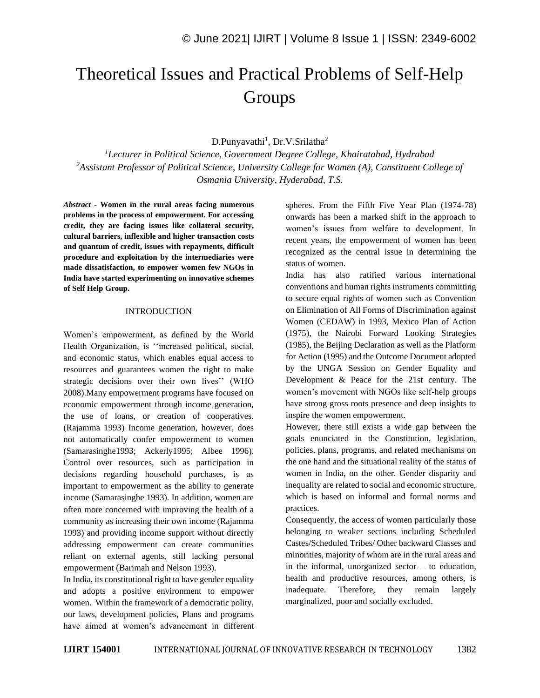# Theoretical Issues and Practical Problems of Self-Help **Groups**

D.Punyavathi<sup>1</sup>, Dr.V.Srilatha<sup>2</sup>

*<sup>1</sup>Lecturer in Political Science, Government Degree College, Khairatabad, Hydrabad <sup>2</sup>Assistant Professor of Political Science, University College for Women (A), Constituent College of Osmania University, Hyderabad, T.S.*

*Abstract -* **Women in the rural areas facing numerous problems in the process of empowerment. For accessing credit, they are facing issues like collateral security, cultural barriers, inflexible and higher transaction costs and quantum of credit, issues with repayments, difficult procedure and exploitation by the intermediaries were made dissatisfaction, to empower women few NGOs in India have started experimenting on innovative schemes of Self Help Group.**

#### INTRODUCTION

Women's empowerment, as defined by the World Health Organization, is ''increased political, social, and economic status, which enables equal access to resources and guarantees women the right to make strategic decisions over their own lives'' (WHO 2008).Many empowerment programs have focused on economic empowerment through income generation, the use of loans, or creation of cooperatives. (Rajamma 1993) Income generation, however, does not automatically confer empowerment to women (Samarasinghe1993; Ackerly1995; Albee 1996). Control over resources, such as participation in decisions regarding household purchases, is as important to empowerment as the ability to generate income (Samarasinghe 1993). In addition, women are often more concerned with improving the health of a community as increasing their own income (Rajamma 1993) and providing income support without directly addressing empowerment can create communities reliant on external agents, still lacking personal empowerment (Barimah and Nelson 1993).

In India, its constitutional right to have gender equality and adopts a positive environment to empower women. Within the framework of a democratic polity, our laws, development policies, Plans and programs have aimed at women's advancement in different spheres. From the Fifth Five Year Plan (1974-78) onwards has been a marked shift in the approach to women's issues from welfare to development. In recent years, the empowerment of women has been recognized as the central issue in determining the status of women.

India has also ratified various international conventions and human rights instruments committing to secure equal rights of women such as Convention on Elimination of All Forms of Discrimination against Women (CEDAW) in 1993, Mexico Plan of Action (1975), the Nairobi Forward Looking Strategies (1985), the Beijing Declaration as well as the Platform for Action (1995) and the Outcome Document adopted by the UNGA Session on Gender Equality and Development & Peace for the 21st century. The women's movement with NGOs like self-help groups have strong gross roots presence and deep insights to inspire the women empowerment.

However, there still exists a wide gap between the goals enunciated in the Constitution, legislation, policies, plans, programs, and related mechanisms on the one hand and the situational reality of the status of women in India, on the other. Gender disparity and inequality are related to social and economic structure, which is based on informal and formal norms and practices.

Consequently, the access of women particularly those belonging to weaker sections including Scheduled Castes/Scheduled Tribes/ Other backward Classes and minorities, majority of whom are in the rural areas and in the informal, unorganized sector  $-$  to education, health and productive resources, among others, is inadequate. Therefore, they remain largely marginalized, poor and socially excluded.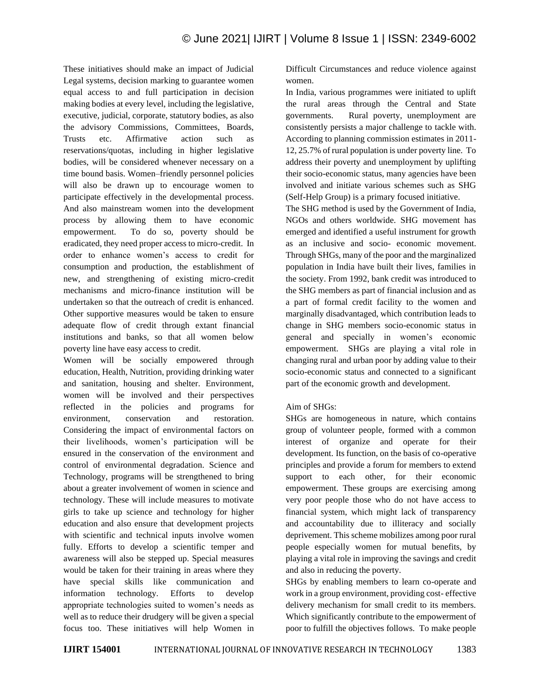These initiatives should make an impact of Judicial Legal systems, decision marking to guarantee women equal access to and full participation in decision making bodies at every level, including the legislative, executive, judicial, corporate, statutory bodies, as also the advisory Commissions, Committees, Boards, Trusts etc. Affirmative action such as reservations/quotas, including in higher legislative bodies, will be considered whenever necessary on a time bound basis. Women–friendly personnel policies will also be drawn up to encourage women to participate effectively in the developmental process. And also mainstream women into the development process by allowing them to have economic empowerment. To do so, poverty should be eradicated, they need proper access to micro-credit. In order to enhance women's access to credit for consumption and production, the establishment of new, and strengthening of existing micro-credit mechanisms and micro-finance institution will be undertaken so that the outreach of credit is enhanced. Other supportive measures would be taken to ensure adequate flow of credit through extant financial institutions and banks, so that all women below poverty line have easy access to credit.

Women will be socially empowered through education, Health, Nutrition, providing drinking water and sanitation, housing and shelter. Environment, women will be involved and their perspectives reflected in the policies and programs for environment, conservation and restoration. Considering the impact of environmental factors on their livelihoods, women's participation will be ensured in the conservation of the environment and control of environmental degradation. Science and Technology, programs will be strengthened to bring about a greater involvement of women in science and technology. These will include measures to motivate girls to take up science and technology for higher education and also ensure that development projects with scientific and technical inputs involve women fully. Efforts to develop a scientific temper and awareness will also be stepped up. Special measures would be taken for their training in areas where they have special skills like communication and information technology. Efforts to develop appropriate technologies suited to women's needs as well as to reduce their drudgery will be given a special focus too. These initiatives will help Women in Difficult Circumstances and reduce violence against women.

In India, various programmes were initiated to uplift the rural areas through the Central and State governments. Rural poverty, unemployment are consistently persists a major challenge to tackle with. According to planning commission estimates in 2011- 12, 25.7% of rural population is under poverty line. To address their poverty and unemployment by uplifting their socio-economic status, many agencies have been involved and initiate various schemes such as SHG (Self-Help Group) is a primary focused initiative.

The SHG method is used by the Government of India, NGOs and others worldwide. SHG movement has emerged and identified a useful instrument for growth as an inclusive and socio- economic movement. Through SHGs, many of the poor and the marginalized population in India have built their lives, families in the society. From 1992, bank credit was introduced to the SHG members as part of financial inclusion and as a part of formal credit facility to the women and marginally disadvantaged, which contribution leads to change in SHG members socio-economic status in general and specially in women's economic empowerment. SHGs are playing a vital role in changing rural and urban poor by adding value to their socio-economic status and connected to a significant part of the economic growth and development.

## Aim of SHGs:

SHGs are homogeneous in nature, which contains group of volunteer people, formed with a common interest of organize and operate for their development. Its function, on the basis of co-operative principles and provide a forum for members to extend support to each other, for their economic empowerment. These groups are exercising among very poor people those who do not have access to financial system, which might lack of transparency and accountability due to illiteracy and socially deprivement. This scheme mobilizes among poor rural people especially women for mutual benefits, by playing a vital role in improving the savings and credit and also in reducing the poverty.

SHGs by enabling members to learn co-operate and work in a group environment, providing cost- effective delivery mechanism for small credit to its members. Which significantly contribute to the empowerment of poor to fulfill the objectives follows. To make people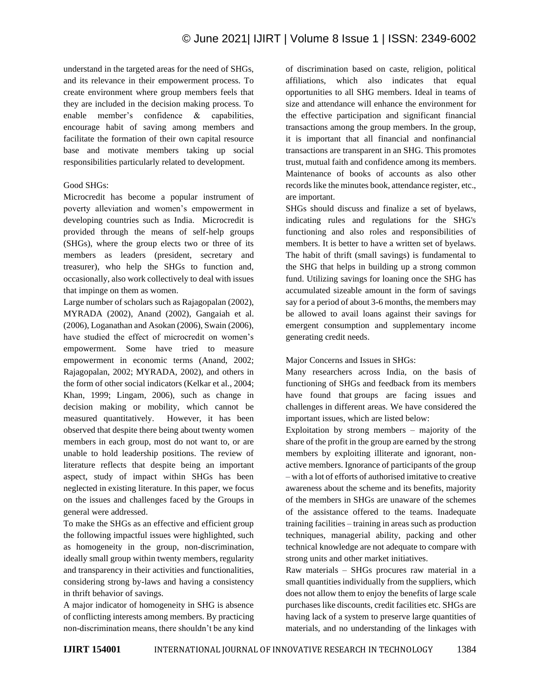understand in the targeted areas for the need of SHGs, and its relevance in their empowerment process. To create environment where group members feels that they are included in the decision making process. To enable member's confidence & capabilities, encourage habit of saving among members and facilitate the formation of their own capital resource base and motivate members taking up social responsibilities particularly related to development.

## Good SHGs:

Microcredit has become a popular instrument of poverty alleviation and women's empowerment in developing countries such as India. Microcredit is provided through the means of self-help groups (SHGs), where the group elects two or three of its members as leaders (president, secretary and treasurer), who help the SHGs to function and, occasionally, also work collectively to deal with issues that impinge on them as women.

Large number of scholars such as Rajagopalan (2002), MYRADA (2002), Anand (2002), Gangaiah et al. (2006), Loganathan and Asokan (2006), Swain (2006), have studied the effect of microcredit on women's empowerment. Some have tried to measure empowerment in economic terms (Anand, 2002; Rajagopalan, 2002; MYRADA, 2002), and others in the form of other social indicators (Kelkar et al., 2004; Khan, 1999; Lingam, 2006), such as change in decision making or mobility, which cannot be measured quantitatively. However, it has been observed that despite there being about twenty women members in each group, most do not want to, or are unable to hold leadership positions. The review of literature reflects that despite being an important aspect, study of impact within SHGs has been neglected in existing literature. In this paper, we focus on the issues and challenges faced by the Groups in general were addressed.

To make the SHGs as an effective and efficient group the following impactful issues were highlighted, such as homogeneity in the group, non-discrimination, ideally small group within twenty members, regularity and transparency in their activities and functionalities, considering strong by-laws and having a consistency in thrift behavior of savings.

A major indicator of homogeneity in SHG is absence of conflicting interests among members. By practicing non-discrimination means, there shouldn't be any kind of discrimination based on caste, religion, political affiliations, which also indicates that equal opportunities to all SHG members. Ideal in teams of size and attendance will enhance the environment for the effective participation and significant financial transactions among the group members. In the group, it is important that all financial and nonfinancial transactions are transparent in an SHG. This promotes trust, mutual faith and confidence among its members. Maintenance of books of accounts as also other records like the minutes book, attendance register, etc., are important.

SHGs should discuss and finalize a set of byelaws, indicating rules and regulations for the SHG's functioning and also roles and responsibilities of members. It is better to have a written set of byelaws. The habit of thrift (small savings) is fundamental to the SHG that helps in building up a strong common fund. Utilizing savings for loaning once the SHG has accumulated sizeable amount in the form of savings say for a period of about 3-6 months, the members may be allowed to avail loans against their savings for emergent consumption and supplementary income generating credit needs.

Major Concerns and Issues in SHGs:

Many researchers across India, on the basis of functioning of SHGs and feedback from its members have found that groups are facing issues and challenges in different areas. We have considered the important issues, which are listed below:

Exploitation by strong members – majority of the share of the profit in the group are earned by the strong members by exploiting illiterate and ignorant, nonactive members. Ignorance of participants of the group – with a lot of efforts of authorised imitative to creative awareness about the scheme and its benefits, majority of the members in SHGs are unaware of the schemes of the assistance offered to the teams. Inadequate training facilities – training in areas such as production techniques, managerial ability, packing and other technical knowledge are not adequate to compare with strong units and other market initiatives.

Raw materials – SHGs procures raw material in a small quantities individually from the suppliers, which does not allow them to enjoy the benefits of large scale purchases like discounts, credit facilities etc. SHGs are having lack of a system to preserve large quantities of materials, and no understanding of the linkages with